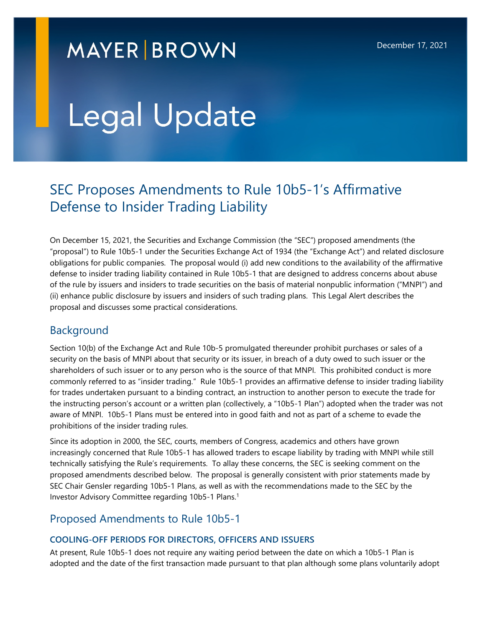# **MAYER BROWN**

# Legal Update

# SEC Proposes Amendments to Rule 10b5-1's Affirmative Defense to Insider Trading Liability

On December 15, 2021, the Securities and Exchange Commission (the "SEC") proposed amendments (the "proposal") to Rule 10b5-1 under the Securities Exchange Act of 1934 (the "Exchange Act") and related disclosure obligations for public companies. The proposal would (i) add new conditions to the availability of the affirmative defense to insider trading liability contained in Rule 10b5-1 that are designed to address concerns about abuse of the rule by issuers and insiders to trade securities on the basis of material nonpublic information ("MNPI") and (ii) enhance public disclosure by issuers and insiders of such trading plans. This Legal Alert describes the proposal and discusses some practical considerations.

## Background

Section 10(b) of the Exchange Act and Rule 10b-5 promulgated thereunder prohibit purchases or sales of a security on the basis of MNPI about that security or its issuer, in breach of a duty owed to such issuer or the shareholders of such issuer or to any person who is the source of that MNPI. This prohibited conduct is more commonly referred to as "insider trading." Rule 10b5-1 provides an affirmative defense to insider trading liability for trades undertaken pursuant to a binding contract, an instruction to another person to execute the trade for the instructing person's account or a written plan (collectively, a "10b5-1 Plan") adopted when the trader was not aware of MNPI. 10b5-1 Plans must be entered into in good faith and not as part of a scheme to evade the prohibitions of the insider trading rules.

Since its adoption in 2000, the SEC, courts, members of Congress, academics and others have grown increasingly concerned that Rule 10b5-1 has allowed traders to escape liability by trading with MNPI while still technically satisfying the Rule's requirements. To allay these concerns, the SEC is seeking comment on the proposed amendments described below. The proposal is generally consistent with prior statements made by SEC Chair Gensler regarding 10b5-1 Plans, as well as with the recommendations made to the SEC by the Investor Advisory Committee regarding 10b5-1 Plans.<sup>1</sup>

### Proposed Amendments to Rule 10b5-1

#### **COOLING-OFF PERIODS FOR DIRECTORS, OFFICERS AND ISSUERS**

At present, Rule 10b5-1 does not require any waiting period between the date on which a 10b5-1 Plan is adopted and the date of the first transaction made pursuant to that plan although some plans voluntarily adopt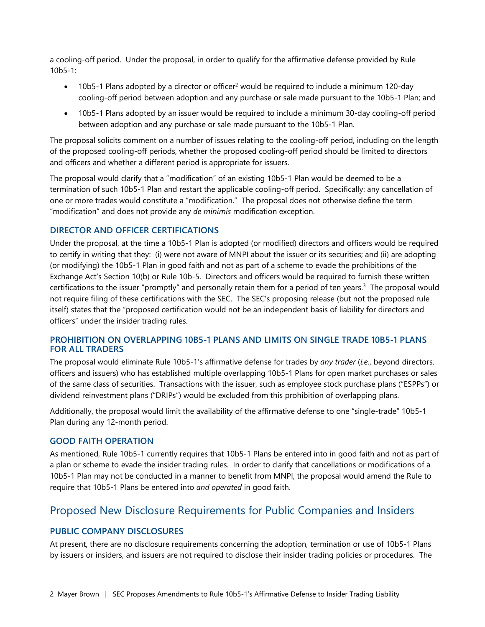a cooling-off period. Under the proposal, in order to qualify for the affirmative defense provided by Rule 10b5-1:

- $\bullet$  10b5-1 Plans adopted by a director or officer<sup>2</sup> would be required to include a minimum 120-day cooling-off period between adoption and any purchase or sale made pursuant to the 10b5-1 Plan; and
- 10b5-1 Plans adopted by an issuer would be required to include a minimum 30-day cooling-off period between adoption and any purchase or sale made pursuant to the 10b5-1 Plan.

The proposal solicits comment on a number of issues relating to the cooling-off period, including on the length of the proposed cooling-off periods, whether the proposed cooling-off period should be limited to directors and officers and whether a different period is appropriate for issuers.

The proposal would clarify that a "modification" of an existing 10b5-1 Plan would be deemed to be a termination of such 10b5-1 Plan and restart the applicable cooling-off period. Specifically: any cancellation of one or more trades would constitute a "modification." The proposal does not otherwise define the term "modification" and does not provide any *de minimis* modification exception.

#### **DIRECTOR AND OFFICER CERTIFICATIONS**

Under the proposal, at the time a 10b5-1 Plan is adopted (or modified) directors and officers would be required to certify in writing that they: (i) were not aware of MNPI about the issuer or its securities; and (ii) are adopting (or modifying) the 10b5-1 Plan in good faith and not as part of a scheme to evade the prohibitions of the Exchange Act's Section 10(b) or Rule 10b-5. Directors and officers would be required to furnish these written certifications to the issuer "promptly" and personally retain them for a period of ten years.<sup>3</sup> The proposal would not require filing of these certifications with the SEC. The SEC's proposing release (but not the proposed rule itself) states that the "proposed certification would not be an independent basis of liability for directors and officers" under the insider trading rules.

#### **PROHIBITION ON OVERLAPPING 10B5-1 PLANS AND LIMITS ON SINGLE TRADE 10B5-1 PLANS FOR ALL TRADERS**

The proposal would eliminate Rule 10b5-1's affirmative defense for trades by *any trader* (*i.e.*, beyond directors, officers and issuers) who has established multiple overlapping 10b5-1 Plans for open market purchases or sales of the same class of securities. Transactions with the issuer, such as employee stock purchase plans ("ESPPs") or dividend reinvestment plans ("DRIPs") would be excluded from this prohibition of overlapping plans.

Additionally, the proposal would limit the availability of the affirmative defense to one "single-trade" 10b5-1 Plan during any 12-month period.

#### **GOOD FAITH OPERATION**

As mentioned, Rule 10b5-1 currently requires that 10b5-1 Plans be entered into in good faith and not as part of a plan or scheme to evade the insider trading rules. In order to clarify that cancellations or modifications of a 10b5-1 Plan may not be conducted in a manner to benefit from MNPI, the proposal would amend the Rule to require that 10b5-1 Plans be entered into *and operated* in good faith.

#### Proposed New Disclosure Requirements for Public Companies and Insiders

#### **PUBLIC COMPANY DISCLOSURES**

At present, there are no disclosure requirements concerning the adoption, termination or use of 10b5-1 Plans by issuers or insiders, and issuers are not required to disclose their insider trading policies or procedures. The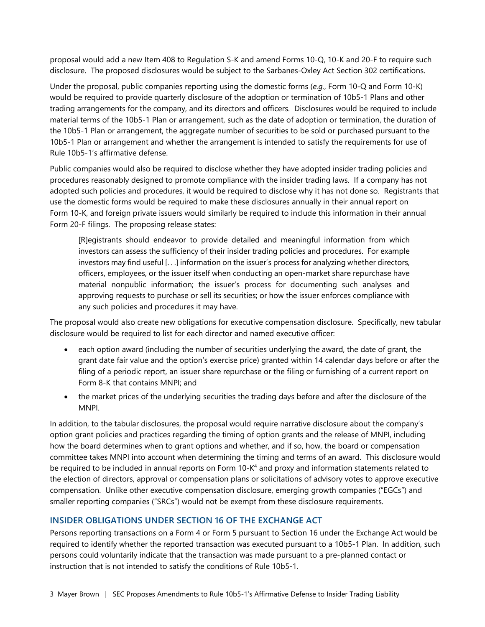proposal would add a new Item 408 to Regulation S-K and amend Forms 10-Q, 10-K and 20-F to require such disclosure. The proposed disclosures would be subject to the Sarbanes-Oxley Act Section 302 certifications.

Under the proposal, public companies reporting using the domestic forms (*e.g.*, Form 10-Q and Form 10-K) would be required to provide quarterly disclosure of the adoption or termination of 10b5-1 Plans and other trading arrangements for the company, and its directors and officers. Disclosures would be required to include material terms of the 10b5-1 Plan or arrangement, such as the date of adoption or termination, the duration of the 10b5-1 Plan or arrangement, the aggregate number of securities to be sold or purchased pursuant to the 10b5-1 Plan or arrangement and whether the arrangement is intended to satisfy the requirements for use of Rule 10b5-1's affirmative defense.

Public companies would also be required to disclose whether they have adopted insider trading policies and procedures reasonably designed to promote compliance with the insider trading laws. If a company has not adopted such policies and procedures, it would be required to disclose why it has not done so. Registrants that use the domestic forms would be required to make these disclosures annually in their annual report on Form 10-K, and foreign private issuers would similarly be required to include this information in their annual Form 20-F filings. The proposing release states:

[R]egistrants should endeavor to provide detailed and meaningful information from which investors can assess the sufficiency of their insider trading policies and procedures. For example investors may find useful [. . .] information on the issuer's process for analyzing whether directors, officers, employees, or the issuer itself when conducting an open-market share repurchase have material nonpublic information; the issuer's process for documenting such analyses and approving requests to purchase or sell its securities; or how the issuer enforces compliance with any such policies and procedures it may have.

The proposal would also create new obligations for executive compensation disclosure. Specifically, new tabular disclosure would be required to list for each director and named executive officer:

- each option award (including the number of securities underlying the award, the date of grant, the grant date fair value and the option's exercise price) granted within 14 calendar days before or after the filing of a periodic report, an issuer share repurchase or the filing or furnishing of a current report on Form 8-K that contains MNPI; and
- the market prices of the underlying securities the trading days before and after the disclosure of the MNPI.

In addition, to the tabular disclosures, the proposal would require narrative disclosure about the company's option grant policies and practices regarding the timing of option grants and the release of MNPI, including how the board determines when to grant options and whether, and if so, how, the board or compensation committee takes MNPI into account when determining the timing and terms of an award. This disclosure would be required to be included in annual reports on Form 10-K<sup>4</sup> and proxy and information statements related to the election of directors, approval or compensation plans or solicitations of advisory votes to approve executive compensation. Unlike other executive compensation disclosure, emerging growth companies ("EGCs") and smaller reporting companies ("SRCs") would not be exempt from these disclosure requirements.

#### **INSIDER OBLIGATIONS UNDER SECTION 16 OF THE EXCHANGE ACT**

Persons reporting transactions on a Form 4 or Form 5 pursuant to Section 16 under the Exchange Act would be required to identify whether the reported transaction was executed pursuant to a 10b5-1 Plan. In addition, such persons could voluntarily indicate that the transaction was made pursuant to a pre-planned contact or instruction that is not intended to satisfy the conditions of Rule 10b5-1.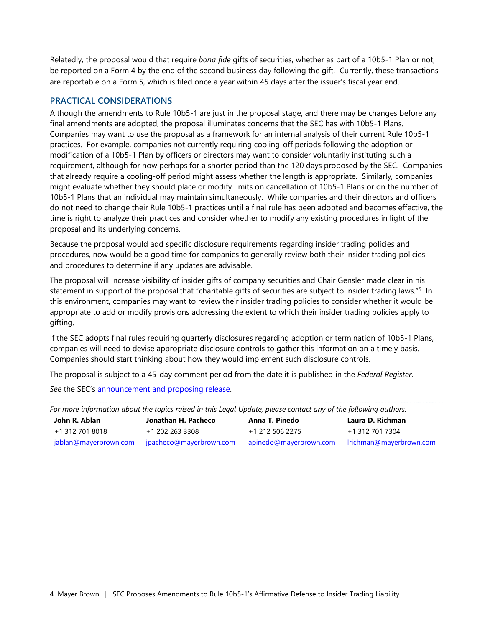Relatedly, the proposal would that require *bona fide* gifts of securities, whether as part of a 10b5-1 Plan or not, be reported on a Form 4 by the end of the second business day following the gift. Currently, these transactions are reportable on a Form 5, which is filed once a year within 45 days after the issuer's fiscal year end.

#### **PRACTICAL CONSIDERATIONS**

Although the amendments to Rule 10b5-1 are just in the proposal stage, and there may be changes before any final amendments are adopted, the proposal illuminates concerns that the SEC has with 10b5-1 Plans. Companies may want to use the proposal as a framework for an internal analysis of their current Rule 10b5-1 practices. For example, companies not currently requiring cooling-off periods following the adoption or modification of a 10b5-1 Plan by officers or directors may want to consider voluntarily instituting such a requirement, although for now perhaps for a shorter period than the 120 days proposed by the SEC. Companies that already require a cooling-off period might assess whether the length is appropriate. Similarly, companies might evaluate whether they should place or modify limits on cancellation of 10b5-1 Plans or on the number of 10b5-1 Plans that an individual may maintain simultaneously. While companies and their directors and officers do not need to change their Rule 10b5-1 practices until a final rule has been adopted and becomes effective, the time is right to analyze their practices and consider whether to modify any existing procedures in light of the proposal and its underlying concerns.

Because the proposal would add specific disclosure requirements regarding insider trading policies and procedures, now would be a good time for companies to generally review both their insider trading policies and procedures to determine if any updates are advisable.

The proposal will increase visibility of insider gifts of company securities and Chair Gensler made clear in his statement in support of the proposal that "charitable gifts of securities are subject to insider trading laws."<sup>5</sup> In this environment, companies may want to review their insider trading policies to consider whether it would be appropriate to add or modify provisions addressing the extent to which their insider trading policies apply to gifting.

If the SEC adopts final rules requiring quarterly disclosures regarding adoption or termination of 10b5-1 Plans, companies will need to devise appropriate disclosure controls to gather this information on a timely basis. Companies should start thinking about how they would implement such disclosure controls.

The proposal is subject to a 45-day comment period from the date it is published in the *Federal Register*.

*See* the SEC's [announcement and proposing release.](https://www.sec.gov/news/press-release/2021-256) 

| For more information about the topics raised in this Legal Update, please contact any of the following authors. |                         |                        |                         |
|-----------------------------------------------------------------------------------------------------------------|-------------------------|------------------------|-------------------------|
| John R. Ablan                                                                                                   | Jonathan H. Pacheco     | Anna T. Pinedo         | Laura D. Richman        |
| +1 312 701 8018                                                                                                 | +1 202 263 3308         | +1 212 506 2275        | +1 312 701 7304         |
| jablan@mayerbrown.com                                                                                           | jpacheco@mayerbrown.com | apinedo@mayerbrown.com | Irichman@mayerbrown.com |